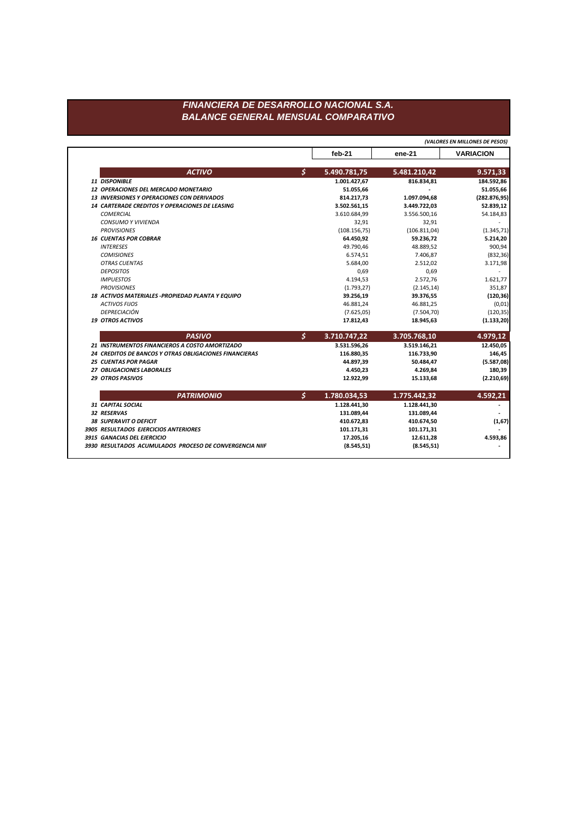## FINANCIERA DE DESARROLLO NACIONAL S.A. **BALANCE GENERAL MENSUAL COMPARATIVO**

(VALORES EN MILLONES DE PESOS)

|                                                        |               | feb-21        | ene-21       | <b>VARIACION</b> |
|--------------------------------------------------------|---------------|---------------|--------------|------------------|
| <b>ACTIVO</b>                                          | \$            | 5.490.781,75  | 5.481.210,42 | 9.571,33         |
| 11 DISPONIBLE                                          |               | 1.001.427,67  | 816.834,81   | 184.592,86       |
| <b>12 OPERACIONES DEL MERCADO MONETARIO</b>            |               | 51.055,66     |              | 51.055,66        |
| 13 INVERSIONES Y OPERACIONES CON DERIVADOS             |               | 814.217,73    | 1.097.094,68 | (282.876, 95)    |
| 14 CARTERADE CREDITOS Y OPERACIONES DE LEASING         |               | 3.502.561,15  | 3.449.722,03 | 52.839,12        |
| <b>COMERCIAL</b>                                       |               | 3.610.684,99  | 3.556.500,16 | 54.184,83        |
| CONSUMO Y VIVIENDA                                     |               | 32,91         | 32,91        |                  |
| <b>PROVISIONES</b>                                     |               | (108.156, 75) | (106.811,04) | (1.345, 71)      |
| <b>16 CUENTAS POR COBRAR</b>                           |               | 64.450,92     | 59.236,72    | 5.214,20         |
| <b>INTERESES</b>                                       |               | 49.790,46     | 48.889,52    | 900,94           |
| <b>COMISIONES</b>                                      |               | 6.574,51      | 7.406,87     | (832, 36)        |
| <b>OTRAS CUENTAS</b>                                   |               | 5.684,00      | 2.512,02     | 3.171,98         |
| <b>DEPOSITOS</b>                                       |               | 0,69          | 0,69         |                  |
| <b>IMPUESTOS</b>                                       |               | 4.194,53      | 2.572,76     | 1.621,77         |
| <b>PROVISIONES</b>                                     |               | (1.793, 27)   | (2.145, 14)  | 351,87           |
| 18 ACTIVOS MATERIALES - PROPIEDAD PLANTA Y EQUIPO      |               | 39.256,19     | 39.376,55    | (120, 36)        |
| <b>ACTIVOS FIJOS</b>                                   |               | 46.881,24     | 46.881,25    | (0,01)           |
| DEPRECIACIÓN                                           |               | (7.625, 05)   | (7.504, 70)  | (120, 35)        |
| <b>19 OTROS ACTIVOS</b>                                |               | 17.812,43     | 18.945,63    | (1.133,20)       |
| <b>PASIVO</b>                                          | $\mathcal{S}$ | 3.710.747,22  | 3.705.768,10 | 4.979,12         |
| 21 INSTRUMENTOS FINANCIEROS A COSTO AMORTIZADO         |               | 3.531.596,26  | 3.519.146,21 | 12.450,05        |
| 24 CREDITOS DE BANCOS Y OTRAS OBLIGACIONES FINANCIERAS |               | 116.880,35    | 116.733,90   | 146,45           |
| <b>25 CUENTAS POR PAGAR</b>                            |               | 44.897,39     | 50.484,47    | (5.587,08)       |
| 27 OBLIGACIONES LABORALES                              |               | 4.450,23      | 4.269,84     | 180,39           |
| <b>29 OTROS PASIVOS</b>                                |               | 12.922,99     | 15.133,68    | (2.210, 69)      |
| <b>PATRIMONIO</b>                                      | \$            | 1.780.034,53  | 1.775.442,32 | 4.592,21         |
| 31 CAPITAL SOCIAL                                      |               | 1.128.441,30  | 1.128.441,30 |                  |
| 32 RESERVAS                                            |               | 131.089,44    | 131.089,44   |                  |
| <b>38 SUPERAVIT O DEFICIT</b>                          |               | 410.672,83    | 410.674,50   | (1,67)           |
| 3905 RESULTADOS EJERCICIOS ANTERIORES                  |               | 101.171,31    | 101.171,31   |                  |
| 3915 GANACIAS DEL EJERCICIO                            |               | 17.205,16     | 12.611,28    | 4.593,86         |
|                                                        |               |               |              |                  |